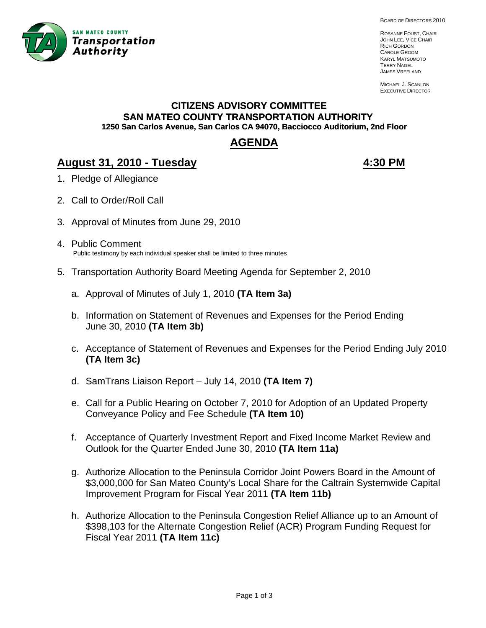

BOARD OF DIRECTORS 2010

ROSANNE FOUST, CHAIR JOHN LEE, VICE CHAIR RICH GORDON CAROLE GROOM KARYL MATSUMOTO TERRY NAGEL JAMES VREELAND

MICHAEL J. SCANLON EXECUTIVE DIRECTOR

# **CITIZENS ADVISORY COMMITTEE SAN MATEO COUNTY TRANSPORTATION AUTHORITY 1250 San Carlos Avenue, San Carlos CA 94070, Bacciocco Auditorium, 2nd Floor**

# **AGENDA**

# **August 31, 2010 - Tuesday 4:30 PM**

- 1. Pledge of Allegiance
- 2. Call to Order/Roll Call
- 3. Approval of Minutes from June 29, 2010
- 4. Public Comment Public testimony by each individual speaker shall be limited to three minutes
- 5. Transportation Authority Board Meeting Agenda for September 2, 2010
	- a. Approval of Minutes of July 1, 2010 **(TA Item 3a)**
	- b. Information on Statement of Revenues and Expenses for the Period Ending June 30, 2010 **(TA Item 3b)**
	- c. Acceptance of Statement of Revenues and Expenses for the Period Ending July 2010 **(TA Item 3c)**
	- d. SamTrans Liaison Report July 14, 2010 **(TA Item 7)**
	- e. Call for a Public Hearing on October 7, 2010 for Adoption of an Updated Property Conveyance Policy and Fee Schedule **(TA Item 10)**
	- f. Acceptance of Quarterly Investment Report and Fixed Income Market Review and Outlook for the Quarter Ended June 30, 2010 **(TA Item 11a)**
	- g. Authorize Allocation to the Peninsula Corridor Joint Powers Board in the Amount of \$3,000,000 for San Mateo County's Local Share for the Caltrain Systemwide Capital Improvement Program for Fiscal Year 2011 **(TA Item 11b)**
	- h. Authorize Allocation to the Peninsula Congestion Relief Alliance up to an Amount of \$398,103 for the Alternate Congestion Relief (ACR) Program Funding Request for Fiscal Year 2011 **(TA Item 11c)**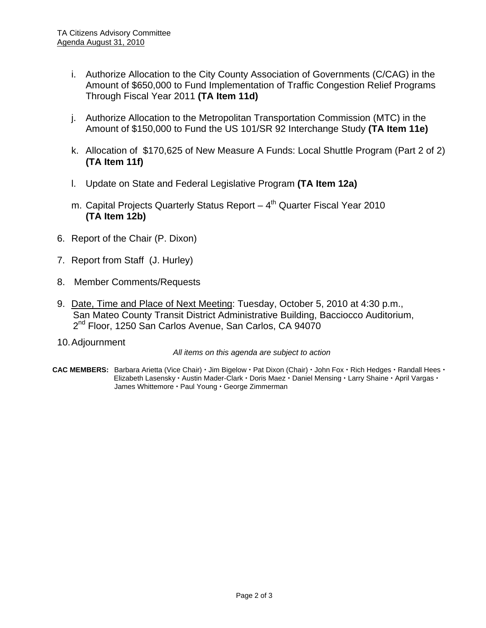- i. Authorize Allocation to the City County Association of Governments (C/CAG) in the Amount of \$650,000 to Fund Implementation of Traffic Congestion Relief Programs Through Fiscal Year 2011 **(TA Item 11d)**
- j. Authorize Allocation to the Metropolitan Transportation Commission (MTC) in the Amount of \$150,000 to Fund the US 101/SR 92 Interchange Study **(TA Item 11e)**
- k. Allocation of \$170,625 of New Measure A Funds: Local Shuttle Program (Part 2 of 2) **(TA Item 11f)**
- l. Update on State and Federal Legislative Program **(TA Item 12a)**
- m. Capital Projects Quarterly Status Report  $-4<sup>th</sup>$  Quarter Fiscal Year 2010 **(TA Item 12b)**
- 6. Report of the Chair (P. Dixon)
- 7. Report from Staff (J. Hurley)
- 8. Member Comments/Requests
- 9. Date, Time and Place of Next Meeting: Tuesday, October 5, 2010 at 4:30 p.m., San Mateo County Transit District Administrative Building, Bacciocco Auditorium, 2<sup>nd</sup> Floor, 1250 San Carlos Avenue, San Carlos, CA 94070
- 10. Adjournment

*All items on this agenda are subject to action* 

CAC MEMBERS: Barbara Arietta (Vice Chair) · Jim Bigelow · Pat Dixon (Chair) · John Fox · Rich Hedges · Randall Hees · **Elizabeth Lasensky · Austin Mader-Clark · Doris Maez · Daniel Mensing · Larry Shaine · April Vargas ·** James Whittemore · Paul Young · George Zimmerman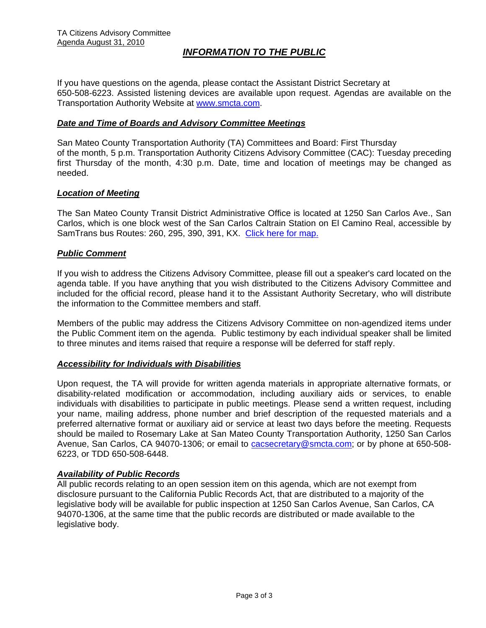# *INFORMATION TO THE PUBLIC*

If you have questions on the agenda, please contact the Assistant District Secretary at 650-508-6223. Assisted listening devices are available upon request. Agendas are available on the Transportation Authority Website at [www.smcta.com.](http://www.smcta.com/)

#### *Date and Time of Boards and Advisory Committee Meetings*

San Mateo County Transportation Authority (TA) Committees and Board: First Thursday of the month, 5 p.m. Transportation Authority Citizens Advisory Committee (CAC): Tuesday preceding first Thursday of the month, 4:30 p.m. Date, time and location of meetings may be changed as needed.

#### *Location of Meeting*

The San Mateo County Transit District Administrative Office is located at 1250 San Carlos Ave., San Carlos, which is one block west of the San Carlos Caltrain Station on El Camino Real, accessible by SamTrans bus Routes: 260, 295, 390, 391, KX. [Click here for map.](http://maps.google.com/maps?f=q&hl=en&geocode=&q=1250+San+Carlos+Ave,+San+Carlos,+CA+94070&sll=37.0625,-95.677068&sspn=33.077336,56.25&ie=UTF8&ll=37.507394,-122.261996&spn=0.008085,0.013733&z=16)

#### *Public Comment*

If you wish to address the Citizens Advisory Committee, please fill out a speaker's card located on the agenda table. If you have anything that you wish distributed to the Citizens Advisory Committee and included for the official record, please hand it to the Assistant Authority Secretary, who will distribute the information to the Committee members and staff.

Members of the public may address the Citizens Advisory Committee on non-agendized items under the Public Comment item on the agenda. Public testimony by each individual speaker shall be limited to three minutes and items raised that require a response will be deferred for staff reply.

#### *Accessibility for Individuals with Disabilities*

Upon request, the TA will provide for written agenda materials in appropriate alternative formats, or disability-related modification or accommodation, including auxiliary aids or services, to enable individuals with disabilities to participate in public meetings. Please send a written request, including your name, mailing address, phone number and brief description of the requested materials and a preferred alternative format or auxiliary aid or service at least two days before the meeting. Requests should be mailed to Rosemary Lake at San Mateo County Transportation Authority, 1250 San Carlos Avenue, San Carlos, CA 94070-1306; or email to [cacsecretary@smcta.com](mailto:cacsecretary@smcta.com); or by phone at 650-508- 6223, or TDD 650-508-6448.

#### *Availability of Public Records*

All public records relating to an open session item on this agenda, which are not exempt from disclosure pursuant to the California Public Records Act, that are distributed to a majority of the legislative body will be available for public inspection at 1250 San Carlos Avenue, San Carlos, CA 94070-1306, at the same time that the public records are distributed or made available to the legislative body.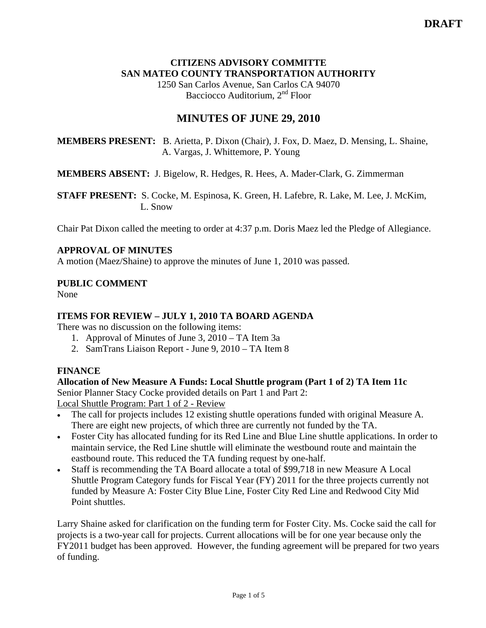### **CITIZENS ADVISORY COMMITTE SAN MATEO COUNTY TRANSPORTATION AUTHORITY**

1250 San Carlos Avenue, San Carlos CA 94070 Bacciocco Auditorium, 2<sup>nd</sup> Floor

# **MINUTES OF JUNE 29, 2010**

**MEMBERS PRESENT:** B. Arietta, P. Dixon (Chair), J. Fox, D. Maez, D. Mensing, L. Shaine, A. Vargas, J. Whittemore, P. Young

**MEMBERS ABSENT:** J. Bigelow, R. Hedges, R. Hees, A. Mader-Clark, G. Zimmerman

**STAFF PRESENT:** S. Cocke, M. Espinosa, K. Green, H. Lafebre, R. Lake, M. Lee, J. McKim, L. Snow

Chair Pat Dixon called the meeting to order at 4:37 p.m. Doris Maez led the Pledge of Allegiance.

# **APPROVAL OF MINUTES**

A motion (Maez/Shaine) to approve the minutes of June 1, 2010 was passed.

#### **PUBLIC COMMENT**

None

# **ITEMS FOR REVIEW – JULY 1, 2010 TA BOARD AGENDA**

There was no discussion on the following items:

- 1. Approval of Minutes of June 3, 2010 TA Item 3a
- 2. SamTrans Liaison Report June 9, 2010 TA Item 8

#### **FINANCE**

#### **Allocation of New Measure A Funds: Local Shuttle program (Part 1 of 2) TA Item 11c**

Senior Planner Stacy Cocke provided details on Part 1 and Part 2: Local Shuttle Program: Part 1 of 2 - Review

- The call for projects includes 12 existing shuttle operations funded with original Measure A. There are eight new projects, of which three are currently not funded by the TA.
- Foster City has allocated funding for its Red Line and Blue Line shuttle applications. In order to maintain service, the Red Line shuttle will eliminate the westbound route and maintain the eastbound route. This reduced the TA funding request by one-half.
- Staff is recommending the TA Board allocate a total of \$99,718 in new Measure A Local Shuttle Program Category funds for Fiscal Year (FY) 2011 for the three projects currently not funded by Measure A: Foster City Blue Line, Foster City Red Line and Redwood City Mid Point shuttles.

Larry Shaine asked for clarification on the funding term for Foster City. Ms. Cocke said the call for projects is a two-year call for projects. Current allocations will be for one year because only the FY2011 budget has been approved. However, the funding agreement will be prepared for two years of funding.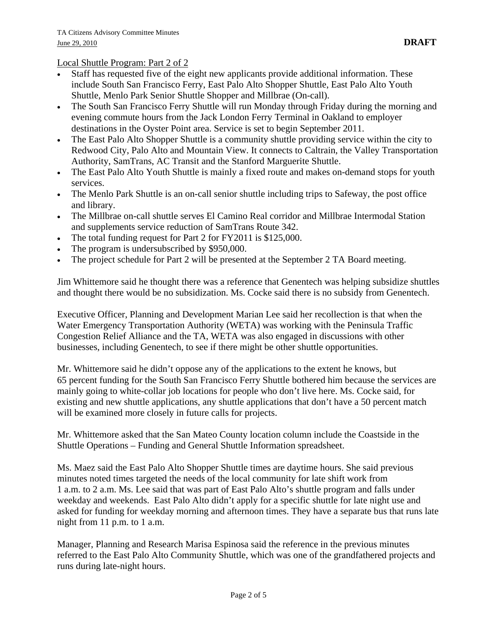#### Local Shuttle Program: Part 2 of 2

- Staff has requested five of the eight new applicants provide additional information. These include South San Francisco Ferry, East Palo Alto Shopper Shuttle, East Palo Alto Youth Shuttle, Menlo Park Senior Shuttle Shopper and Millbrae (On-call).
- The South San Francisco Ferry Shuttle will run Monday through Friday during the morning and evening commute hours from the Jack London Ferry Terminal in Oakland to employer destinations in the Oyster Point area. Service is set to begin September 2011.
- The East Palo Alto Shopper Shuttle is a community shuttle providing service within the city to Redwood City, Palo Alto and Mountain View. It connects to Caltrain, the Valley Transportation Authority, SamTrans, AC Transit and the Stanford Marguerite Shuttle.
- The East Palo Alto Youth Shuttle is mainly a fixed route and makes on-demand stops for youth services.
- The Menlo Park Shuttle is an on-call senior shuttle including trips to Safeway, the post office and library.
- The Millbrae on-call shuttle serves El Camino Real corridor and Millbrae Intermodal Station and supplements service reduction of SamTrans Route 342.
- The total funding request for Part 2 for FY2011 is \$125,000.
- The program is undersubscribed by \$950,000.
- The project schedule for Part 2 will be presented at the September 2 TA Board meeting.

Jim Whittemore said he thought there was a reference that Genentech was helping subsidize shuttles and thought there would be no subsidization. Ms. Cocke said there is no subsidy from Genentech.

Executive Officer, Planning and Development Marian Lee said her recollection is that when the Water Emergency Transportation Authority (WETA) was working with the Peninsula Traffic Congestion Relief Alliance and the TA, WETA was also engaged in discussions with other businesses, including Genentech, to see if there might be other shuttle opportunities.

Mr. Whittemore said he didn't oppose any of the applications to the extent he knows, but 65 percent funding for the South San Francisco Ferry Shuttle bothered him because the services are mainly going to white-collar job locations for people who don't live here. Ms. Cocke said, for existing and new shuttle applications, any shuttle applications that don't have a 50 percent match will be examined more closely in future calls for projects.

Mr. Whittemore asked that the San Mateo County location column include the Coastside in the Shuttle Operations – Funding and General Shuttle Information spreadsheet.

Ms. Maez said the East Palo Alto Shopper Shuttle times are daytime hours. She said previous minutes noted times targeted the needs of the local community for late shift work from 1 a.m. to 2 a.m. Ms. Lee said that was part of East Palo Alto's shuttle program and falls under weekday and weekends. East Palo Alto didn't apply for a specific shuttle for late night use and asked for funding for weekday morning and afternoon times. They have a separate bus that runs late night from 11 p.m. to 1 a.m.

Manager, Planning and Research Marisa Espinosa said the reference in the previous minutes referred to the East Palo Alto Community Shuttle, which was one of the grandfathered projects and runs during late-night hours.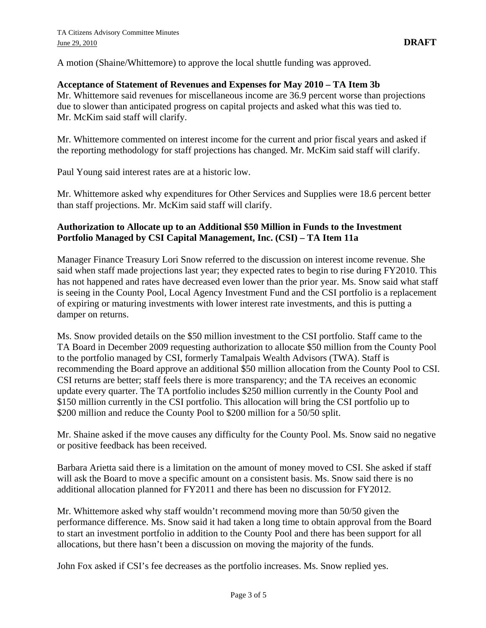A motion (Shaine/Whittemore) to approve the local shuttle funding was approved.

#### **Acceptance of Statement of Revenues and Expenses for May 2010 – TA Item 3b**

Mr. Whittemore said revenues for miscellaneous income are 36.9 percent worse than projections due to slower than anticipated progress on capital projects and asked what this was tied to. Mr. McKim said staff will clarify.

Mr. Whittemore commented on interest income for the current and prior fiscal years and asked if the reporting methodology for staff projections has changed. Mr. McKim said staff will clarify.

Paul Young said interest rates are at a historic low.

Mr. Whittemore asked why expenditures for Other Services and Supplies were 18.6 percent better than staff projections. Mr. McKim said staff will clarify.

#### **Authorization to Allocate up to an Additional \$50 Million in Funds to the Investment Portfolio Managed by CSI Capital Management, Inc. (CSI) – TA Item 11a**

Manager Finance Treasury Lori Snow referred to the discussion on interest income revenue. She said when staff made projections last year; they expected rates to begin to rise during FY2010. This has not happened and rates have decreased even lower than the prior year. Ms. Snow said what staff is seeing in the County Pool, Local Agency Investment Fund and the CSI portfolio is a replacement of expiring or maturing investments with lower interest rate investments, and this is putting a damper on returns.

Ms. Snow provided details on the \$50 million investment to the CSI portfolio. Staff came to the TA Board in December 2009 requesting authorization to allocate \$50 million from the County Pool to the portfolio managed by CSI, formerly Tamalpais Wealth Advisors (TWA). Staff is recommending the Board approve an additional \$50 million allocation from the County Pool to CSI. CSI returns are better; staff feels there is more transparency; and the TA receives an economic update every quarter. The TA portfolio includes \$250 million currently in the County Pool and \$150 million currently in the CSI portfolio. This allocation will bring the CSI portfolio up to \$200 million and reduce the County Pool to \$200 million for a 50/50 split.

Mr. Shaine asked if the move causes any difficulty for the County Pool. Ms. Snow said no negative or positive feedback has been received.

Barbara Arietta said there is a limitation on the amount of money moved to CSI. She asked if staff will ask the Board to move a specific amount on a consistent basis. Ms. Snow said there is no additional allocation planned for FY2011 and there has been no discussion for FY2012.

Mr. Whittemore asked why staff wouldn't recommend moving more than 50/50 given the performance difference. Ms. Snow said it had taken a long time to obtain approval from the Board to start an investment portfolio in addition to the County Pool and there has been support for all allocations, but there hasn't been a discussion on moving the majority of the funds.

John Fox asked if CSI's fee decreases as the portfolio increases. Ms. Snow replied yes.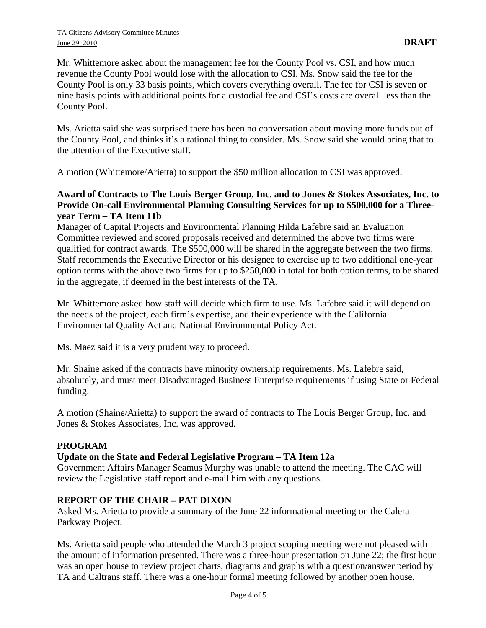Mr. Whittemore asked about the management fee for the County Pool vs. CSI, and how much revenue the County Pool would lose with the allocation to CSI. Ms. Snow said the fee for the County Pool is only 33 basis points, which covers everything overall. The fee for CSI is seven or nine basis points with additional points for a custodial fee and CSI's costs are overall less than the County Pool.

Ms. Arietta said she was surprised there has been no conversation about moving more funds out of the County Pool, and thinks it's a rational thing to consider. Ms. Snow said she would bring that to the attention of the Executive staff.

A motion (Whittemore/Arietta) to support the \$50 million allocation to CSI was approved.

# **Award of Contracts to The Louis Berger Group, Inc. and to Jones & Stokes Associates, Inc. to Provide On-call Environmental Planning Consulting Services for up to \$500,000 for a Threeyear Term – TA Item 11b**

Manager of Capital Projects and Environmental Planning Hilda Lafebre said an Evaluation Committee reviewed and scored proposals received and determined the above two firms were qualified for contract awards. The \$500,000 will be shared in the aggregate between the two firms. Staff recommends the Executive Director or his designee to exercise up to two additional one-year option terms with the above two firms for up to \$250,000 in total for both option terms, to be shared in the aggregate, if deemed in the best interests of the TA.

Mr. Whittemore asked how staff will decide which firm to use. Ms. Lafebre said it will depend on the needs of the project, each firm's expertise, and their experience with the California Environmental Quality Act and National Environmental Policy Act.

Ms. Maez said it is a very prudent way to proceed.

Mr. Shaine asked if the contracts have minority ownership requirements. Ms. Lafebre said, absolutely, and must meet Disadvantaged Business Enterprise requirements if using State or Federal funding.

A motion (Shaine/Arietta) to support the award of contracts to The Louis Berger Group, Inc. and Jones & Stokes Associates, Inc. was approved.

# **PROGRAM**

# **Update on the State and Federal Legislative Program – TA Item 12a**

Government Affairs Manager Seamus Murphy was unable to attend the meeting. The CAC will review the Legislative staff report and e-mail him with any questions.

## **REPORT OF THE CHAIR – PAT DIXON**

Asked Ms. Arietta to provide a summary of the June 22 informational meeting on the Calera Parkway Project.

Ms. Arietta said people who attended the March 3 project scoping meeting were not pleased with the amount of information presented. There was a three-hour presentation on June 22; the first hour was an open house to review project charts, diagrams and graphs with a question/answer period by TA and Caltrans staff. There was a one-hour formal meeting followed by another open house.